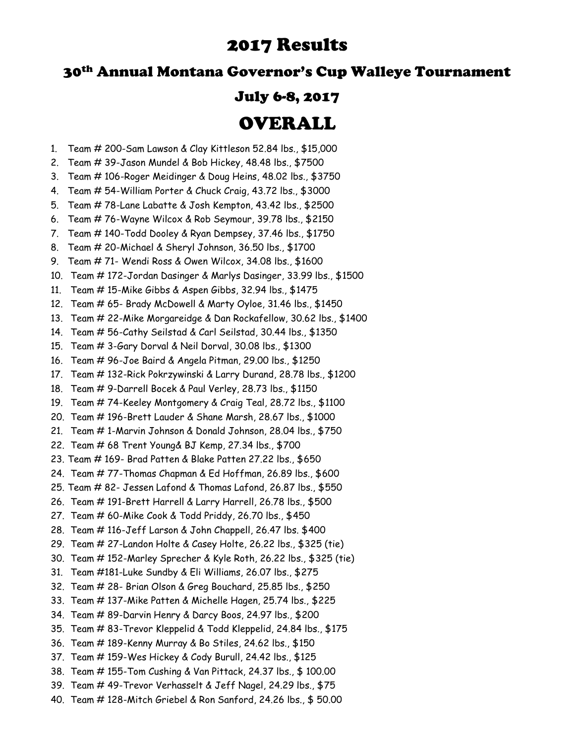# 2017 Results

## 30th Annual Montana Governor's Cup Walleye Tournament

### July 6-8, 2017

# OVERALL

- 1. Team # 200-Sam Lawson & Clay Kittleson 52.84 lbs., \$15,000
- 2. Team # 39-Jason Mundel & Bob Hickey, 48.48 lbs., \$7500
- 3. Team # 106-Roger Meidinger & Doug Heins, 48.02 lbs., \$3750
- 4. Team # 54-William Porter & Chuck Craig, 43.72 lbs., \$3000
- 5. Team # 78-Lane Labatte & Josh Kempton, 43.42 lbs., \$2500
- 6. Team # 76-Wayne Wilcox & Rob Seymour, 39.78 lbs., \$2150
- 7. Team # 140-Todd Dooley & Ryan Dempsey, 37.46 lbs., \$1750
- 8. Team # 20-Michael & Sheryl Johnson, 36.50 lbs., \$1700
- 9. Team # 71- Wendi Ross & Owen Wilcox, 34.08 lbs., \$1600
- 10. Team # 172-Jordan Dasinger & Marlys Dasinger, 33.99 lbs., \$1500
- 11. Team # 15-Mike Gibbs & Aspen Gibbs, 32.94 lbs., \$1475
- 12. Team # 65- Brady McDowell & Marty Oyloe, 31.46 lbs., \$1450
- 13. Team # 22-Mike Morgareidge & Dan Rockafellow, 30.62 lbs., \$1400
- 14. Team # 56-Cathy Seilstad & Carl Seilstad, 30.44 lbs., \$1350
- 15. Team # 3-Gary Dorval & Neil Dorval, 30.08 lbs., \$1300
- 16. Team # 96-Joe Baird & Angela Pitman, 29.00 lbs., \$1250
- 17. Team # 132-Rick Pokrzywinski & Larry Durand, 28.78 lbs., \$1200
- 18. Team # 9-Darrell Bocek & Paul Verley, 28.73 lbs., \$1150
- 19. Team # 74-Keeley Montgomery & Craig Teal, 28.72 lbs., \$1100
- 20. Team # 196-Brett Lauder & Shane Marsh, 28.67 lbs., \$1000
- 21. Team # 1-Marvin Johnson & Donald Johnson, 28.04 lbs., \$750
- 22. Team # 68 Trent Young& BJ Kemp, 27.34 lbs., \$700
- 23. Team # 169- Brad Patten & Blake Patten 27.22 lbs., \$650
- 24. Team # 77-Thomas Chapman & Ed Hoffman, 26.89 lbs., \$600
- 25. Team # 82- Jessen Lafond & Thomas Lafond, 26.87 lbs., \$550
- 26. Team # 191-Brett Harrell & Larry Harrell, 26.78 lbs., \$500
- 27. Team # 60-Mike Cook & Todd Priddy, 26.70 lbs., \$450
- 28. Team # 116-Jeff Larson & John Chappell, 26.47 lbs. \$400
- 29. Team # 27-Landon Holte & Casey Holte, 26.22 lbs., \$325 (tie)
- 30. Team # 152-Marley Sprecher & Kyle Roth, 26.22 lbs., \$325 (tie)
- 31. Team #181-Luke Sundby & Eli Williams, 26.07 lbs., \$275
- 32. Team # 28- Brian Olson & Greg Bouchard, 25.85 lbs., \$250
- 33. Team # 137-Mike Patten & Michelle Hagen, 25.74 lbs., \$225
- 34. Team # 89-Darvin Henry & Darcy Boos, 24.97 lbs., \$200
- 35. Team # 83-Trevor Kleppelid & Todd Kleppelid, 24.84 lbs., \$175
- 36. Team # 189-Kenny Murray & Bo Stiles, 24.62 lbs., \$150
- 37. Team # 159-Wes Hickey & Cody Burull, 24.42 lbs., \$125
- 38. Team # 155-Tom Cushing & Van Pittack, 24.37 lbs., \$ 100.00
- 39. Team # 49-Trevor Verhasselt & Jeff Nagel, 24.29 lbs., \$75
- 40. Team # 128-Mitch Griebel & Ron Sanford, 24.26 lbs., \$ 50.00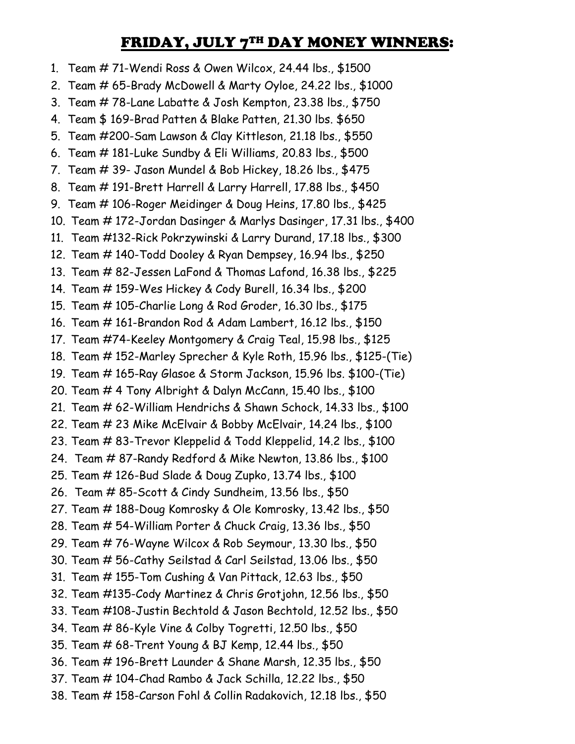# FRIDAY, JULY 7TH DAY MONEY WINNERS:

1. Team # 71-Wendi Ross & Owen Wilcox, 24.44 lbs., \$1500 2. Team # 65-Brady McDowell & Marty Oyloe, 24.22 lbs., \$1000 3. Team # 78-Lane Labatte & Josh Kempton, 23.38 lbs., \$750 4. Team \$ 169-Brad Patten & Blake Patten, 21.30 lbs. \$650 5. Team #200-Sam Lawson & Clay Kittleson, 21.18 lbs., \$550 6. Team # 181-Luke Sundby & Eli Williams, 20.83 lbs., \$500 7. Team # 39- Jason Mundel & Bob Hickey, 18.26 lbs., \$475 8. Team # 191-Brett Harrell & Larry Harrell, 17.88 lbs., \$450 9. Team # 106-Roger Meidinger & Doug Heins, 17.80 lbs., \$425 10. Team # 172-Jordan Dasinger & Marlys Dasinger, 17.31 lbs., \$400 11. Team #132-Rick Pokrzywinski & Larry Durand, 17.18 lbs., \$300 12. Team # 140-Todd Dooley & Ryan Dempsey, 16.94 lbs., \$250 13. Team # 82-Jessen LaFond & Thomas Lafond, 16.38 lbs., \$225 14. Team # 159-Wes Hickey & Cody Burell, 16.34 lbs., \$200 15. Team # 105-Charlie Long & Rod Groder, 16.30 lbs., \$175 16. Team # 161-Brandon Rod & Adam Lambert, 16.12 lbs., \$150 17. Team #74-Keeley Montgomery & Craig Teal, 15.98 lbs., \$125 18. Team # 152-Marley Sprecher & Kyle Roth, 15.96 lbs., \$125-(Tie) 19. Team # 165-Ray Glasoe & Storm Jackson, 15.96 lbs. \$100-(Tie) 20. Team # 4 Tony Albright & Dalyn McCann, 15.40 lbs., \$100 21. Team # 62-William Hendrichs & Shawn Schock, 14.33 lbs., \$100 22. Team # 23 Mike McElvair & Bobby McElvair, 14.24 lbs., \$100 23. Team # 83-Trevor Kleppelid & Todd Kleppelid, 14.2 lbs., \$100 24. Team # 87-Randy Redford & Mike Newton, 13.86 lbs., \$100 25. Team # 126-Bud Slade & Doug Zupko, 13.74 lbs., \$100 26. Team # 85-Scott & Cindy Sundheim, 13.56 lbs., \$50 27. Team # 188-Doug Komrosky & Ole Komrosky, 13.42 lbs., \$50 28. Team # 54-William Porter & Chuck Craig, 13.36 lbs., \$50 29. Team # 76-Wayne Wilcox & Rob Seymour, 13.30 lbs., \$50 30. Team # 56-Cathy Seilstad & Carl Seilstad, 13.06 lbs., \$50 31. Team # 155-Tom Cushing & Van Pittack, 12.63 lbs., \$50 32. Team #135-Cody Martinez & Chris Grotjohn, 12.56 lbs., \$50 33. Team #108-Justin Bechtold & Jason Bechtold, 12.52 lbs., \$50 34. Team # 86-Kyle Vine & Colby Togretti, 12.50 lbs., \$50 35. Team # 68-Trent Young & BJ Kemp, 12.44 lbs., \$50 36. Team # 196-Brett Launder & Shane Marsh, 12.35 lbs., \$50 37. Team # 104-Chad Rambo & Jack Schilla, 12.22 lbs., \$50 38. Team # 158-Carson Fohl & Collin Radakovich, 12.18 lbs., \$50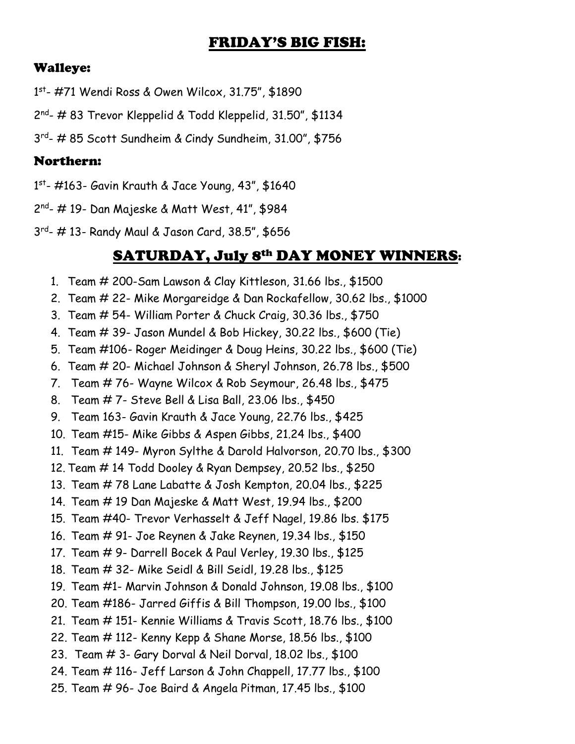## FRIDAY'S BIG FISH:

#### Walleye:

1 st - #71 Wendi Ross & Owen Wilcox, 31.75", \$1890

2nd<sub>-</sub> # 83 Trevor Kleppelid & Todd Kleppelid, 31.50", \$1134

3 rd - # 85 Scott Sundheim & Cindy Sundheim, 31.00", \$756

### Northern:

1 st - #163- Gavin Krauth & Jace Young, 43", \$1640

2 nd - # 19- Dan Majeske & Matt West, 41", \$984

3 rd - # 13- Randy Maul & Jason Card, 38.5", \$656

## SATURDAY, July 8th DAY MONEY WINNERS:

- 1. Team # 200-Sam Lawson & Clay Kittleson, 31.66 lbs., \$1500
- 2. Team # 22- Mike Morgareidge & Dan Rockafellow, 30.62 lbs., \$1000
- 3. Team # 54- William Porter & Chuck Craig, 30.36 lbs., \$750
- 4. Team # 39- Jason Mundel & Bob Hickey, 30.22 lbs., \$600 (Tie)
- 5. Team #106- Roger Meidinger & Doug Heins, 30.22 lbs., \$600 (Tie)
- 6. Team # 20- Michael Johnson & Sheryl Johnson, 26.78 lbs., \$500
- 7. Team # 76- Wayne Wilcox & Rob Seymour, 26.48 lbs., \$475
- 8. Team # 7- Steve Bell & Lisa Ball, 23.06 lbs., \$450
- 9. Team 163- Gavin Krauth & Jace Young, 22.76 lbs., \$425
- 10. Team #15- Mike Gibbs & Aspen Gibbs, 21.24 lbs., \$400
- 11. Team # 149- Myron Sylthe & Darold Halvorson, 20.70 lbs., \$300
- 12. Team # 14 Todd Dooley & Ryan Dempsey, 20.52 lbs., \$250
- 13. Team # 78 Lane Labatte & Josh Kempton, 20.04 lbs., \$225
- 14. Team # 19 Dan Majeske & Matt West, 19.94 lbs., \$200
- 15. Team #40- Trevor Verhasselt & Jeff Nagel, 19.86 lbs. \$175
- 16. Team # 91- Joe Reynen & Jake Reynen, 19.34 lbs., \$150
- 17. Team # 9- Darrell Bocek & Paul Verley, 19.30 lbs., \$125
- 18. Team # 32- Mike Seidl & Bill Seidl, 19.28 lbs., \$125
- 19. Team #1- Marvin Johnson & Donald Johnson, 19.08 lbs., \$100
- 20. Team #186- Jarred Giffis & Bill Thompson, 19.00 lbs., \$100
- 21. Team # 151- Kennie Williams & Travis Scott, 18.76 lbs., \$100
- 22. Team # 112- Kenny Kepp & Shane Morse, 18.56 lbs., \$100
- 23. Team # 3- Gary Dorval & Neil Dorval, 18.02 lbs., \$100
- 24. Team # 116- Jeff Larson & John Chappell, 17.77 lbs., \$100
- 25. Team # 96- Joe Baird & Angela Pitman, 17.45 lbs., \$100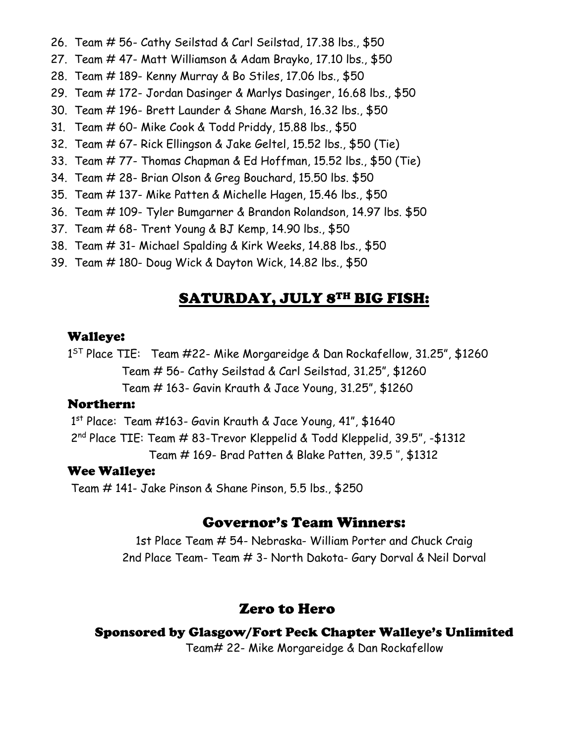- 26. Team # 56- Cathy Seilstad & Carl Seilstad, 17.38 lbs., \$50
- 27. Team # 47- Matt Williamson & Adam Brayko, 17.10 lbs., \$50
- 28. Team # 189- Kenny Murray & Bo Stiles, 17.06 lbs., \$50
- 29. Team # 172- Jordan Dasinger & Marlys Dasinger, 16.68 lbs., \$50
- 30. Team # 196- Brett Launder & Shane Marsh, 16.32 lbs., \$50
- 31. Team # 60- Mike Cook & Todd Priddy, 15.88 lbs., \$50
- 32. Team # 67- Rick Ellingson & Jake Geltel, 15.52 lbs., \$50 (Tie)
- 33. Team # 77- Thomas Chapman & Ed Hoffman, 15.52 lbs., \$50 (Tie)
- 34. Team # 28- Brian Olson & Greg Bouchard, 15.50 lbs. \$50
- 35. Team # 137- Mike Patten & Michelle Hagen, 15.46 lbs., \$50
- 36. Team # 109- Tyler Bumgarner & Brandon Rolandson, 14.97 lbs. \$50
- 37. Team # 68- Trent Young & BJ Kemp, 14.90 lbs., \$50
- 38. Team # 31- Michael Spalding & Kirk Weeks, 14.88 lbs., \$50
- 39. Team # 180- Doug Wick & Dayton Wick, 14.82 lbs., \$50

## SATURDAY, JULY 8TH BIG FISH:

#### Walleye:

1 ST Place TIE: Team #22- Mike Morgareidge & Dan Rockafellow, 31.25", \$1260 Team # 56- Cathy Seilstad & Carl Seilstad, 31.25", \$1260 Team # 163- Gavin Krauth & Jace Young, 31.25", \$1260

#### Northern:

1 st Place: Team #163- Gavin Krauth & Jace Young, 41", \$1640

2 nd Place TIE: Team # 83-Trevor Kleppelid & Todd Kleppelid, 39.5", -\$1312 Team # 169- Brad Patten & Blake Patten, 39.5 '', \$1312

#### Wee Walleye:

Team # 141- Jake Pinson & Shane Pinson, 5.5 lbs., \$250

### Governor's Team Winners:

1st Place Team # 54- Nebraska- William Porter and Chuck Craig 2nd Place Team- Team # 3- North Dakota- Gary Dorval & Neil Dorval

## Zero to Hero

### Sponsored by Glasgow/Fort Peck Chapter Walleye's Unlimited

Team# 22- Mike Morgareidge & Dan Rockafellow